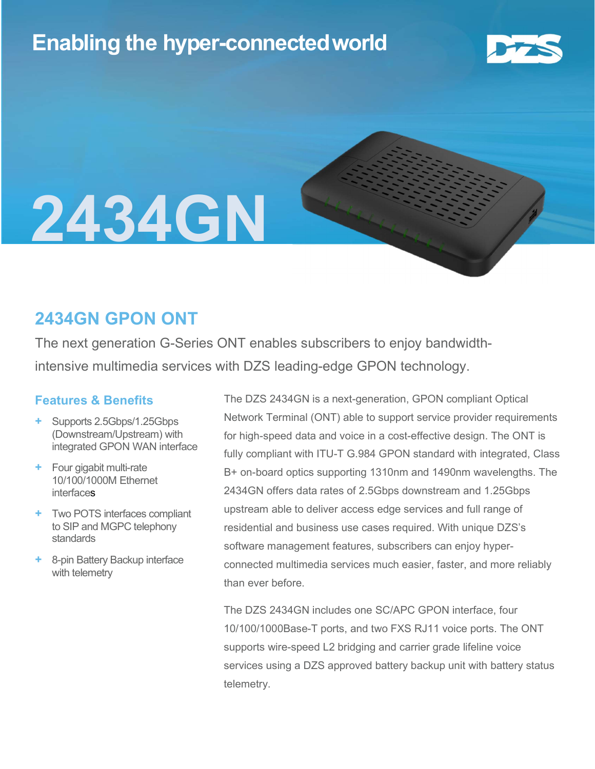# Enabling the hyper-connectedworld



# 2434GN

### 2434GN GPON ONT

The next generation G-Series ONT enables subscribers to enjoy bandwidthintensive multimedia services with DZS leading-edge GPON technology.

#### Features & Benefits

- Supports 2.5Gbps/1.25Gbps (Downstream/Upstream) with integrated GPON WAN interface
- Four gigabit multi-rate 10/100/1000M Ethernet interfaces
- + Two POTS interfaces compliant to SIP and MGPC telephony standards
- + 8-pin Battery Backup interface with telemetry

The DZS 2434GN is a next-generation, GPON compliant Optical Network Terminal (ONT) able to support service provider requirements for high-speed data and voice in a cost-effective design. The ONT is fully compliant with ITU-T G.984 GPON standard with integrated, Class B+ on-board optics supporting 1310nm and 1490nm wavelengths. The 2434GN offers data rates of 2.5Gbps downstream and 1.25Gbps upstream able to deliver access edge services and full range of residential and business use cases required. With unique DZS's software management features, subscribers can enjoy hyperconnected multimedia services much easier, faster, and more reliably than ever before.

The DZS 2434GN includes one SC/APC GPON interface, four 10/100/1000Base-T ports, and two FXS RJ11 voice ports. The ONT supports wire-speed L2 bridging and carrier grade lifeline voice services using a DZS approved battery backup unit with battery status telemetry.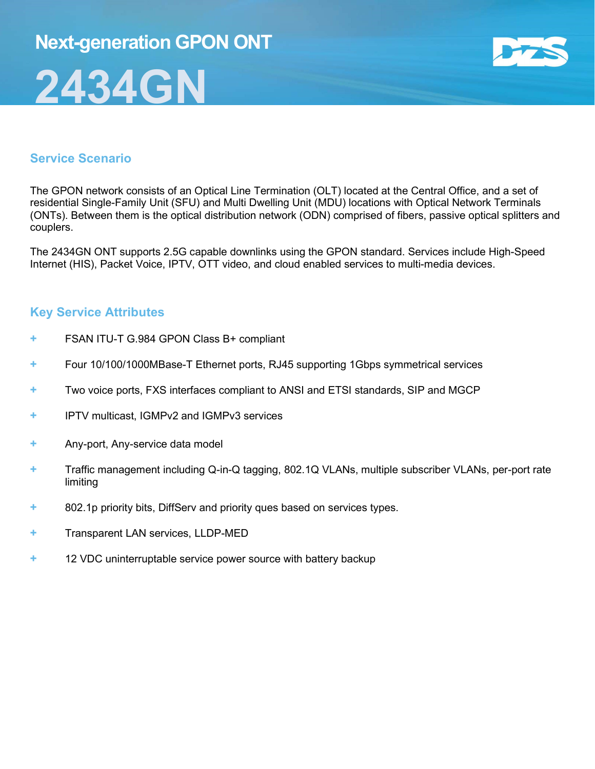# Next-generation GPON ONT 2434GN



#### Service Scenario

The GPON network consists of an Optical Line Termination (OLT) located at the Central Office, and a set of residential Single-Family Unit (SFU) and Multi Dwelling Unit (MDU) locations with Optical Network Terminals (ONTs). Between them is the optical distribution network (ODN) comprised of fibers, passive optical splitters and couplers.

The 2434GN ONT supports 2.5G capable downlinks using the GPON standard. Services include High-Speed Internet (HIS), Packet Voice, IPTV, OTT video, and cloud enabled services to multi-media devices.

#### Key Service Attributes

- + FSAN ITU-T G.984 GPON Class B+ compliant
- + Four 10/100/1000MBase-T Ethernet ports, RJ45 supporting 1Gbps symmetrical services
- + Two voice ports, FXS interfaces compliant to ANSI and ETSI standards, SIP and MGCP
- + IPTV multicast, IGMPv2 and IGMPv3 services
- + Any-port, Any-service data model
- + Traffic management including Q-in-Q tagging, 802.1Q VLANs, multiple subscriber VLANs, per-port rate limiting
- + 802.1p priority bits, DiffServ and priority ques based on services types.
- + Transparent LAN services, LLDP-MED
- + 12 VDC uninterruptable service power source with battery backup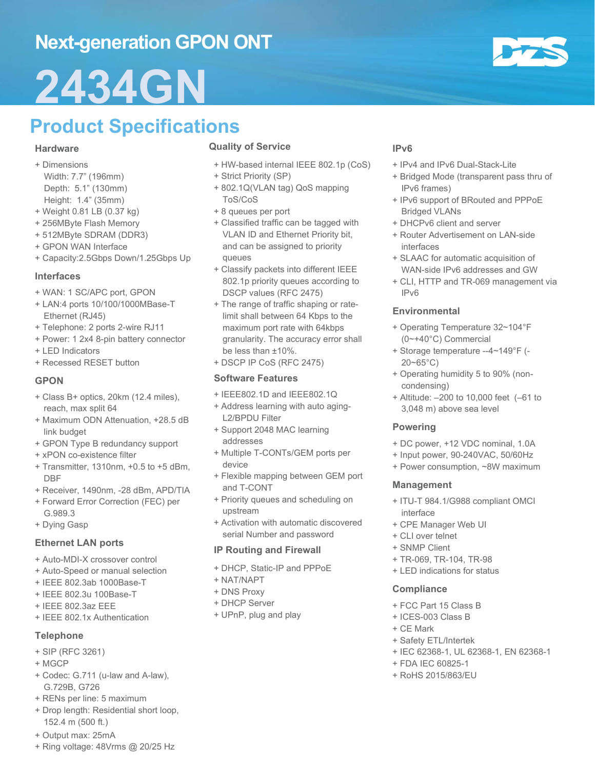## Next-generation GPON ONT

# 2434GN

# Product Specifications

#### **Hardware**

- + Dimensions Width: 7.7" (196mm) Depth: 5.1" (130mm) Height: 1.4" (35mm)
- + Weight 0.81 LB (0.37 kg)
- + 256MByte Flash Memory
- + 512MByte SDRAM (DDR3)
- + GPON WAN Interface
- + Capacity:2.5Gbps Down/1.25Gbps Up

#### Interfaces

- + WAN: 1 SC/APC port, GPON
- + LAN:4 ports 10/100/1000MBase-T Ethernet (RJ45)
- + Telephone: 2 ports 2-wire RJ11
- + Power: 1 2x4 8-pin battery connector
- + LED Indicators
- + Recessed RESET button

#### GPON

- + Class B+ optics, 20km (12.4 miles), reach, max split 64
- + Maximum ODN Attenuation, +28.5 dB link budget
- + GPON Type B redundancy support
- + xPON co-existence filter
- + Transmitter, 1310nm, +0.5 to +5 dBm, DBF
- + Receiver, 1490nm, -28 dBm, APD/TIA
- + Forward Error Correction (FEC) per G.989.3
- + Dying Gasp

#### Ethernet LAN ports

- + Auto-MDI-X crossover control
- + Auto-Speed or manual selection
- + IEEE 802.3ab 1000Base-T
- + IEEE 802.3u 100Base-T
- + IEEE 802.3az EEE
- + IEEE 802.1x Authentication

#### Telephone

- + SIP (RFC 3261)
- + MGCP
- + Codec: G.711 (u-law and A-law), G.729B, G726
- + RENs per line: 5 maximum
- + Drop length: Residential short loop, 152.4 m (500 ft.)
- + Output max: 25mA
- + Ring voltage: 48Vrms @ 20/25 Hz

#### Quality of Service

- + HW-based internal IEEE 802.1p (CoS)
- + Strict Priority (SP)
- + 802.1Q(VLAN tag) QoS mapping ToS/CoS
- + 8 queues per port
- + Classified traffic can be tagged with VLAN ID and Ethernet Priority bit, and can be assigned to priority queues
- + Classify packets into different IEEE 802.1p priority queues according to DSCP values (RFC 2475)
- + The range of traffic shaping or ratelimit shall between 64 Kbps to the maximum port rate with 64kbps granularity. The accuracy error shall be less than ±10%.
- + DSCP IP CoS (RFC 2475)

#### Software Features

- + IEEE802.1D and IEEE802.1Q
- + Address learning with auto aging-L2/BPDU Filter
- + Support 2048 MAC learning addresses
- + Multiple T-CONTs/GEM ports per device
- + Flexible mapping between GEM port and T-CONT
- + Priority queues and scheduling on upstream
- + Activation with automatic discovered serial Number and password

#### IP Routing and Firewall

- + DHCP, Static-IP and PPPoE
- + NAT/NAPT
- + DNS Proxy
- + DHCP Server
- + UPnP, plug and play

#### IPv6

- + IPv4 and IPv6 Dual-Stack-Lite
- + Bridged Mode (transparent pass thru of IPv6 frames)
- + IPv6 support of BRouted and PPPoE Bridged VLANs
- + DHCPv6 client and server
- + Router Advertisement on LAN-side interfaces
- + SLAAC for automatic acquisition of WAN-side IPv6 addresses and GW
- + CLI, HTTP and TR-069 management via IPv6

#### Environmental

- + Operating Temperature 32~104°F (0~+40°C) Commercial
- + Storage temperature --4~149°F (- 20~65°C)
- + Operating humidity 5 to 90% (noncondensing)
- + Altitude: –200 to 10,000 feet (–61 to 3,048 m) above sea level

#### Powering

- + DC power, +12 VDC nominal, 1.0A
- + Input power, 90-240VAC, 50/60Hz
- + Power consumption, ~8W maximum

#### Management

- + ITU-T 984.1/G988 compliant OMCI interface
- + CPE Manager Web UI
- + CLI over telnet
- + SNMP Client
- + TR-069, TR-104, TR-98
- + LED indications for status

#### **Compliance**

- + FCC Part 15 Class B
- + ICES-003 Class B
- + CE Mark
- + Safety ETL/Intertek
- + IEC 62368-1, UL 62368-1, EN 62368-1
- + FDA IEC 60825-1
- + RoHS 2015/863/EU